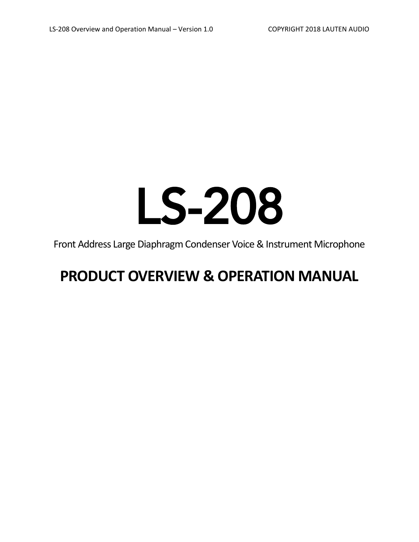# LS-208

Front Address Large Diaphragm Condenser Voice & Instrument Microphone

## **PRODUCT OVERVIEW & OPERATION MANUAL**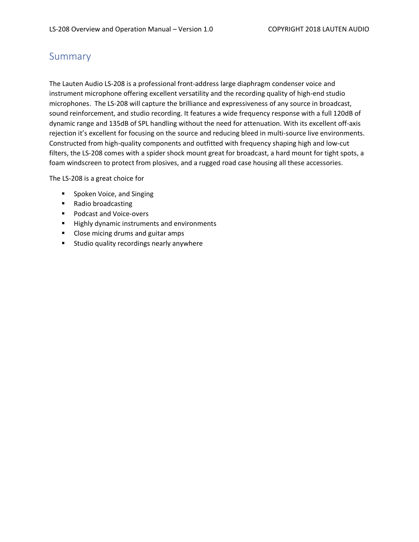### Summary

The Lauten Audio LS-208 is a professional front-address large diaphragm condenser voice and instrument microphone offering excellent versatility and the recording quality of high-end studio microphones. The LS-208 will capture the brilliance and expressiveness of any source in broadcast, sound reinforcement, and studio recording. It features a wide frequency response with a full 120dB of dynamic range and 135dB of SPL handling without the need for attenuation. With its excellent off-axis rejection it's excellent for focusing on the source and reducing bleed in multi-source live environments. Constructed from high-quality components and outfitted with frequency shaping high and low-cut filters, the LS-208 comes with a spider shock mount great for broadcast, a hard mount for tight spots, a foam windscreen to protect from plosives, and a rugged road case housing all these accessories.

The LS-208 is a great choice for

- **Spoken Voice, and Singing**
- Radio broadcasting
- **Podcast and Voice-overs**
- **Highly dynamic instruments and environments**
- **E** Close micing drums and guitar amps
- **EXTED Studio quality recordings nearly anywhere**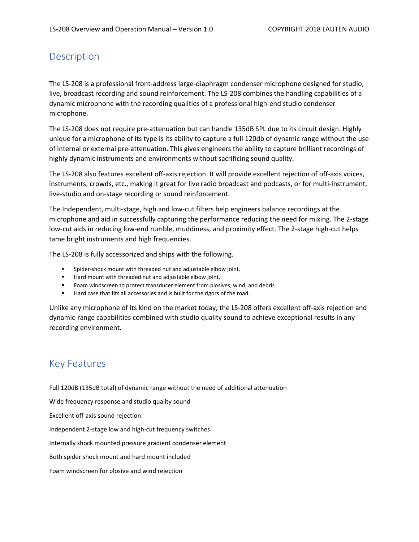## Description

The LS-208 is a professional front-address large-diaphragm condenser microphone designed for studio, live, broadcast recording and sound reinforcement. The LS-208 combines the handling capabilities of a dynamic microphone with the recording qualities of a professional high-end studio condenser microphone.

The LS-208 does not require pre-attenuation but can handle 135dB SPL due to its circuit design. Highly unique for a microphone of its type is its ability to capture a full 120db of dynamic range without the use of internal or external pre-attenuation. This gives engineers the ability to capture brilliant recordings of highly dynamic instruments and environments without sacrificing sound quality.

The LS-208 also features excellent off-axis rejection. It will provide excellent rejection of off-axis voices, instruments, crowds, etc., making it great for live radio broadcast and podcasts, or for multi-instrument, live-studio and on-stage recording or sound reinforcement.

The Independent, multi-stage, high and low-cut filters help engineers balance recordings at the microphone and aid in successfully capturing the performance reducing the need for mixing. The 2-stage low-cut aids in reducing low-end rumble, muddiness, and proximity effect. The 2-stage high-cut helps tame bright instruments and high frequencies.

The LS-208 is fully accessorized and ships with the following.

- Spider-shock mount with threaded nut and adjustable elbow joint.
- Hard mount with threaded nut and adjustable elbow joint.
- Foam windscreen to protect transducer element from plosives, wind, and debris
- Hard case that fits all accessories and is built for the rigors of the road.

Unlike any microphone of its kind on the market today, the LS-208 offers excellent off-axis rejection and dynamic-range capabilities combined with studio quality sound to achieve exceptional results in any recording environment.

## Key Features

Full 120dB (135dB total) of dynamic range without the need of additional attenuation Wide frequency response and studio quality sound Excellent off-axis sound rejection Independent 2-stage low and high-cut frequency switches Internally shock mounted pressure gradient condenser element Both spider shock mount and hard mount included Foam windscreen for plosive and wind rejection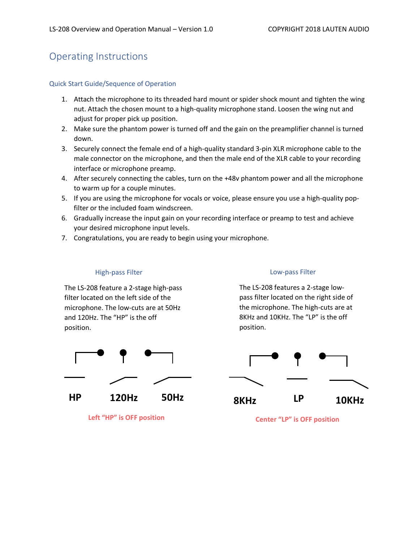## Operating Instructions

#### Quick Start Guide/Sequence of Operation

- 1. Attach the microphone to its threaded hard mount or spider shock mount and tighten the wing nut. Attach the chosen mount to a high-quality microphone stand. Loosen the wing nut and adjust for proper pick up position.
- 2. Make sure the phantom power is turned off and the gain on the preamplifier channel is turned down.
- 3. Securely connect the female end of a high-quality standard 3-pin XLR microphone cable to the male connector on the microphone, and then the male end of the XLR cable to your recording interface or microphone preamp.
- 4. After securely connecting the cables, turn on the +48v phantom power and all the microphone to warm up for a couple minutes.
- 5. If you are using the microphone for vocals or voice, please ensure you use a high-quality popfilter or the included foam windscreen.
- 6. Gradually increase the input gain on your recording interface or preamp to test and achieve your desired microphone input levels.
- 7. Congratulations, you are ready to begin using your microphone.

#### High-pass Filter

The LS-208 feature a 2-stage high-pass filter located on the left side of the microphone. The low-cuts are at 50Hz and 120Hz. The "HP" is the off position.



**Left "HP" is OFF position**

#### Low-pass Filter

The LS-208 features a 2-stage lowpass filter located on the right side of the microphone. The high-cuts are at 8KHz and 10KHz. The "LP" is the off position.



**Center "LP" is OFF position**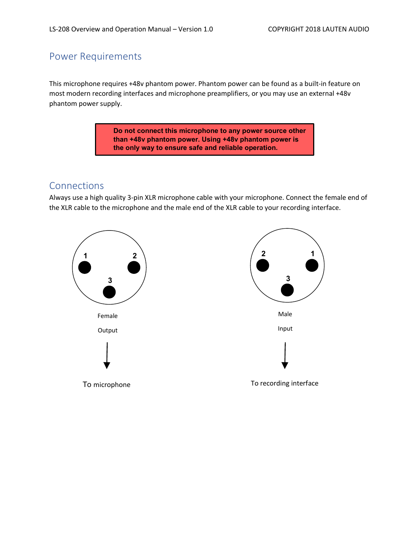## Power Requirements

This microphone requires +48v phantom power. Phantom power can be found as a built-in feature on most modern recording interfaces and microphone preamplifiers, or you may use an external +48v phantom power supply.

> **Do not connect this microphone to any power source other than +48v phantom power. Using +48v phantom power is the only way to ensure safe and reliable operation.**

## Connections

Always use a high quality 3-pin XLR microphone cable with your microphone. Connect the female end of the XLR cable to the microphone and the male end of the XLR cable to your recording interface.

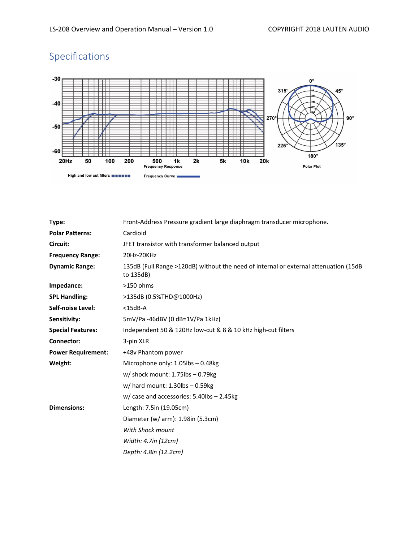## Specifications



| Type:                     | Front-Address Pressure gradient large diaphragm transducer microphone.                            |
|---------------------------|---------------------------------------------------------------------------------------------------|
| <b>Polar Patterns:</b>    | Cardioid                                                                                          |
| Circuit:                  | JFET transistor with transformer balanced output                                                  |
| <b>Frequency Range:</b>   | 20Hz-20KHz                                                                                        |
| <b>Dynamic Range:</b>     | 135dB (Full Range >120dB) without the need of internal or external attenuation (15dB<br>to 135dB) |
| Impedance:                | $>150$ ohms                                                                                       |
| <b>SPL Handling:</b>      | >135dB (0.5%THD@1000Hz)                                                                           |
| <b>Self-noise Level:</b>  | $<$ 15dB-A                                                                                        |
| Sensitivity:              | 5mV/Pa -46dBV (0 dB=1V/Pa 1kHz)                                                                   |
| <b>Special Features:</b>  | Independent 50 & 120Hz low-cut & 8 & 10 kHz high-cut filters                                      |
| <b>Connector:</b>         | 3-pin XLR                                                                                         |
| <b>Power Requirement:</b> | +48v Phantom power                                                                                |
| Weight:                   | Microphone only: 1.05lbs - 0.48kg                                                                 |
|                           | $w/$ shock mount: 1.75lbs - 0.79kg                                                                |
|                           | $w/$ hard mount: 1.30lbs - 0.59kg                                                                 |
|                           | $w/case$ and accessories: 5.40lbs - 2.45kg                                                        |
| <b>Dimensions:</b>        | Length: 7.5in (19.05cm)                                                                           |
|                           | Diameter (w/ arm): 1.98in (5.3cm)                                                                 |
|                           | With Shock mount                                                                                  |
|                           | Width: 4.7in (12cm)                                                                               |
|                           | Depth: 4.8in (12.2cm)                                                                             |